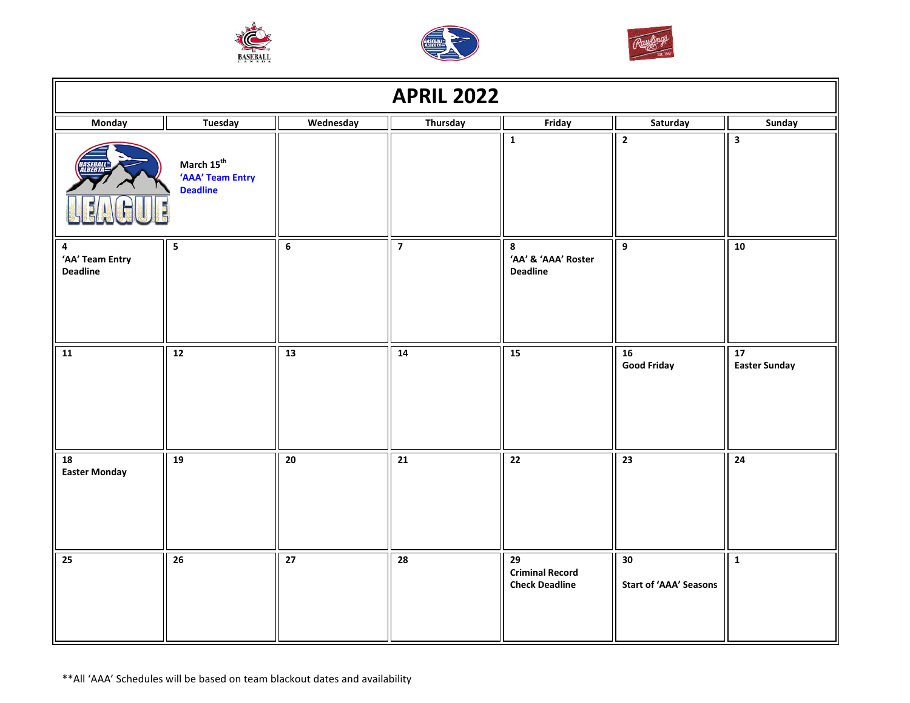





| <b>APRIL 2022</b>                                                                                                                |                |                 |                         |                                                                    |                                     |                                         |
|----------------------------------------------------------------------------------------------------------------------------------|----------------|-----------------|-------------------------|--------------------------------------------------------------------|-------------------------------------|-----------------------------------------|
| Monday                                                                                                                           | <b>Tuesday</b> | Wednesday       | Thursday                | Friday                                                             | Saturday                            | Sunday                                  |
| $\mathbf 1$<br>$\mathbf 2$<br>$\overline{\mathbf{3}}$<br>March $15^{\text{th}}$<br>ILBERT<br>'AAA' Team Entry<br><b>Deadline</b> |                |                 |                         |                                                                    |                                     |                                         |
| 4<br>'AA' Team Entry<br><b>Deadline</b>                                                                                          | ${\bf 5}$      | $\overline{6}$  | $\overline{\mathbf{z}}$ | 8<br>'AA' & 'AAA' Roster<br><b>Deadline</b>                        | $\boldsymbol{9}$                    | 10                                      |
| 11                                                                                                                               | 12             | 13              | $\overline{14}$         | 15                                                                 | 16<br><b>Good Friday</b>            | $\overline{17}$<br><b>Easter Sunday</b> |
| 18<br><b>Easter Monday</b>                                                                                                       | 19             | $\overline{20}$ | $\overline{21}$         | $\overline{22}$                                                    | $\overline{23}$                     | $\overline{24}$                         |
| 25                                                                                                                               | 26             | $\overline{27}$ | 28                      | $\overline{29}$<br><b>Criminal Record</b><br><b>Check Deadline</b> | 30<br><b>Start of 'AAA' Seasons</b> | $\mathbf{1}$                            |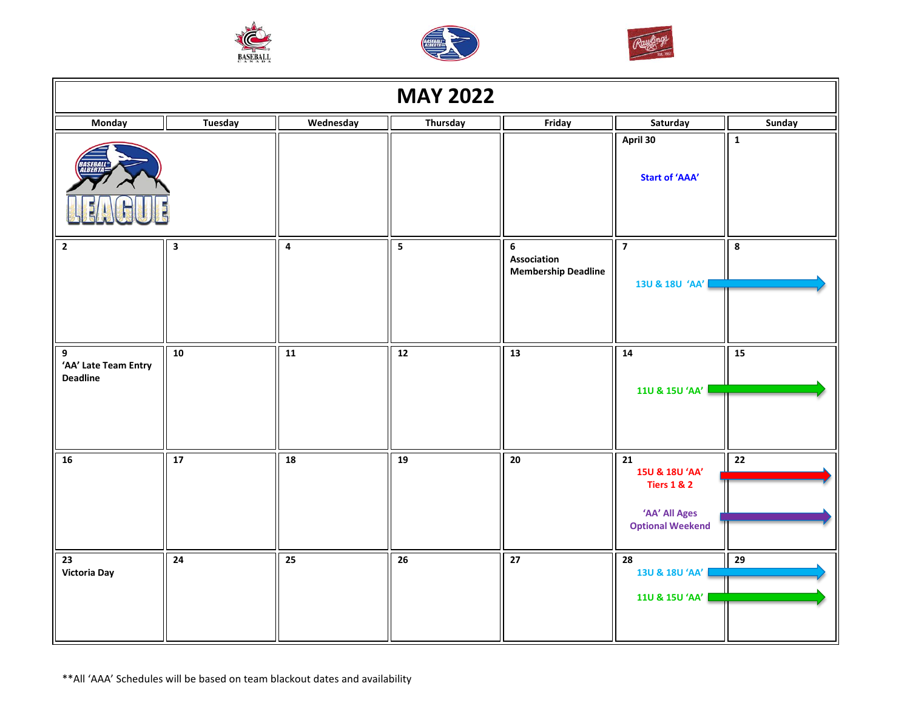





| <b>MAY 2022</b>                              |                         |                 |                 |                                                |                                                                                                         |                 |
|----------------------------------------------|-------------------------|-----------------|-----------------|------------------------------------------------|---------------------------------------------------------------------------------------------------------|-----------------|
| Monday                                       | <b>Tuesday</b>          | Wednesday       | Thursday        | Friday                                         | Saturday                                                                                                | Sunday          |
|                                              |                         |                 |                 |                                                | April 30<br><b>Start of 'AAA'</b>                                                                       | $\mathbf 1$     |
| $\mathbf{2}$                                 | $\overline{\mathbf{3}}$ | $\pmb{4}$       | 5               | 6<br>Association<br><b>Membership Deadline</b> | $\overline{7}$<br>13U & 18U 'AA'                                                                        | 8               |
| 9<br>'AA' Late Team Entry<br><b>Deadline</b> | 10                      | $\overline{11}$ | $\overline{12}$ | $\overline{13}$                                | $\overline{14}$<br>110 & 150 'AA'                                                                       | $\overline{15}$ |
| ${\bf 16}$                                   | $\overline{17}$         | 18              | 19              | 20                                             | $\overline{21}$<br>15U & 18U 'AA'<br><b>Tiers 1 &amp; 2</b><br>'AA' All Ages<br><b>Optional Weekend</b> | 22              |
| $\overline{23}$<br>Victoria Day              | 24                      | 25              | $\overline{26}$ | $\overline{27}$                                | $\overline{28}$<br>13U & 18U 'AA'<br>11U & 15U 'AA'                                                     | 29              |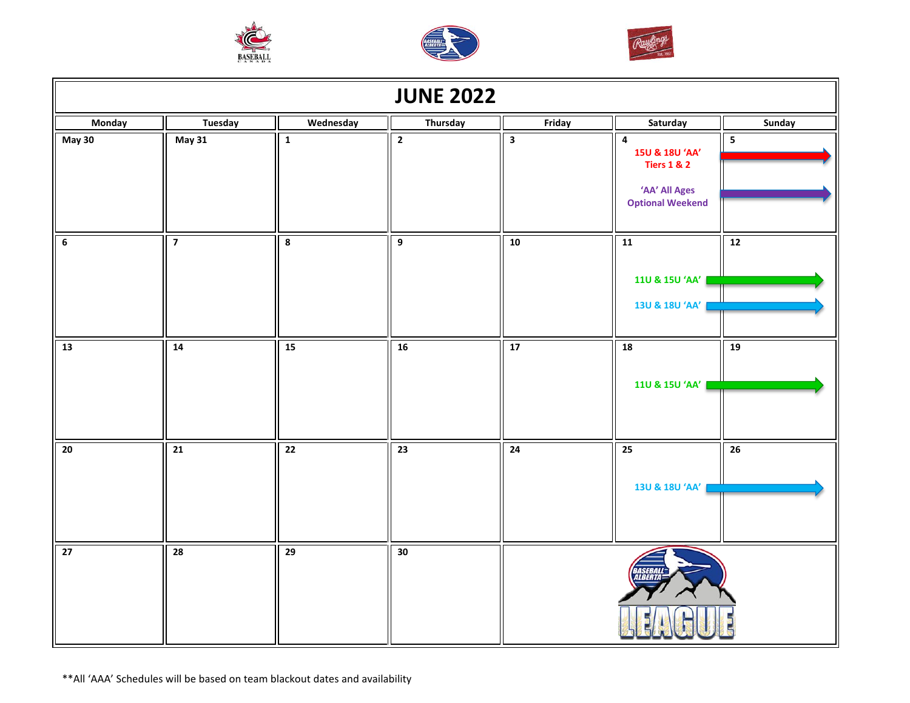





| <b>JUNE 2022</b> |                 |                         |                 |                         |                                                                                                   |                         |  |
|------------------|-----------------|-------------------------|-----------------|-------------------------|---------------------------------------------------------------------------------------------------|-------------------------|--|
| Monday           | <b>Tuesday</b>  | Wednesday               | Thursday        | Friday                  | Saturday                                                                                          | Sunday                  |  |
| <b>May 30</b>    | <b>May 31</b>   | $\mathbf 1$             | $\overline{2}$  | $\overline{\mathbf{3}}$ | $\pmb{4}$<br>15U & 18U 'AA'<br><b>Tiers 1 &amp; 2</b><br>'AA' All Ages<br><b>Optional Weekend</b> | $\overline{\mathbf{5}}$ |  |
| $\bf 6$          | $\overline{7}$  | $\overline{\mathbf{8}}$ | $\overline{9}$  | 10                      | 11<br>110 & 150 'AA'<br>13U & 18U 'AA'                                                            | 12                      |  |
| $\overline{13}$  | 14              | 15                      | 16              | 17                      | $\overline{18}$<br>11U & 15U 'AA'                                                                 | 19                      |  |
| $\overline{20}$  | $\overline{21}$ | $\overline{22}$         | $\overline{23}$ | $\overline{24}$         | $\overline{25}$<br>13U & 18U 'AA'                                                                 | $\overline{26}$         |  |
| 27               | $\overline{28}$ | $\overline{29}$         | 30              |                         | <b>BER</b>                                                                                        |                         |  |